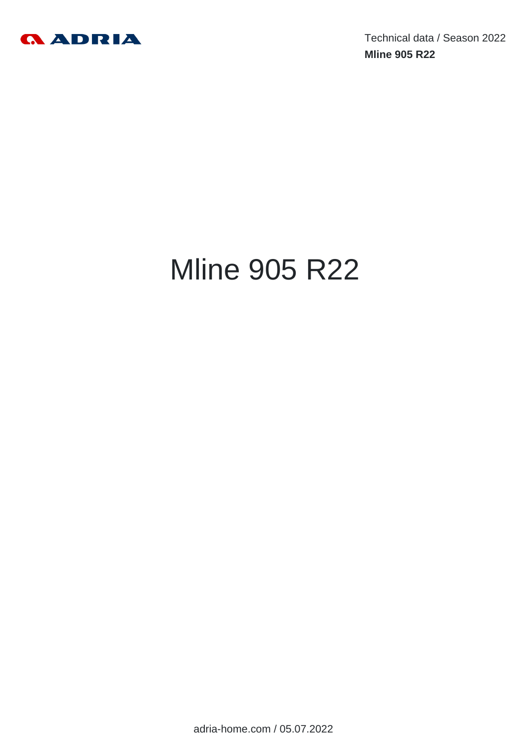

Technical data / Season 2022 **Mline 905 R22**

# Mline 905 R22

adria-home.com / 05.07.2022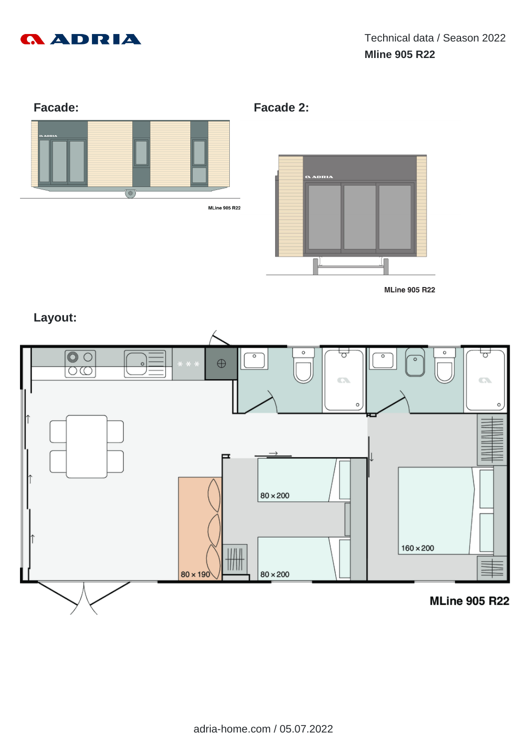



adria-home.com / 05.07.2022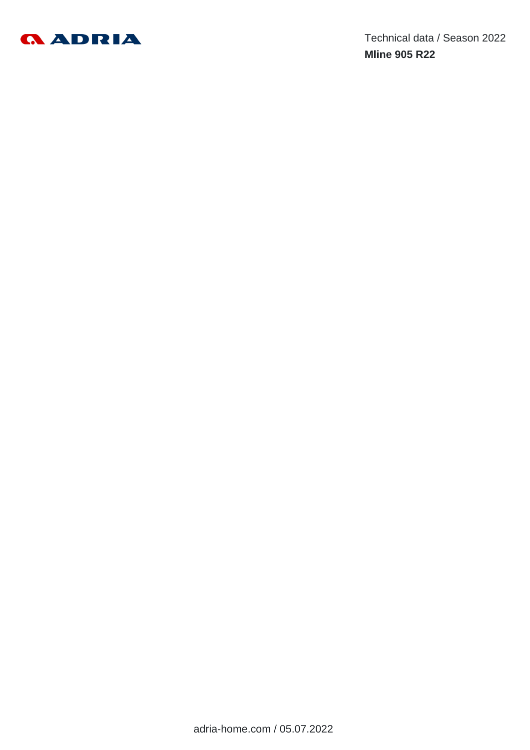

Technical data / Season 2022 **Mline 905 R22**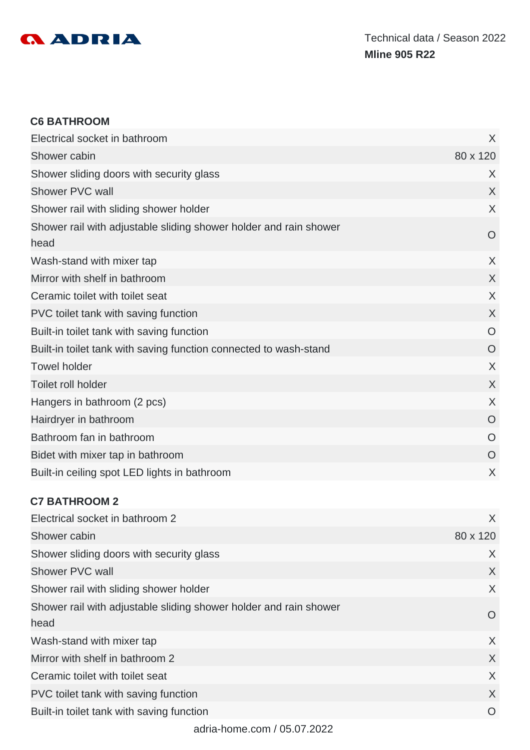

#### **C6 BATHROOM**

| Electrical socket in bathroom                                             | X              |
|---------------------------------------------------------------------------|----------------|
| Shower cabin                                                              | 80 x 120       |
| Shower sliding doors with security glass                                  | X              |
| Shower PVC wall                                                           | X              |
| Shower rail with sliding shower holder                                    | $\sf X$        |
| Shower rail with adjustable sliding shower holder and rain shower<br>head | O              |
| Wash-stand with mixer tap                                                 | $\sf X$        |
| Mirror with shelf in bathroom                                             | $\sf X$        |
| Ceramic toilet with toilet seat                                           | $\chi$         |
| PVC toilet tank with saving function                                      | $\chi$         |
| Built-in toilet tank with saving function                                 | $\circ$        |
| Built-in toilet tank with saving function connected to wash-stand         | O              |
| <b>Towel holder</b>                                                       | X              |
| Toilet roll holder                                                        | $\chi$         |
| Hangers in bathroom (2 pcs)                                               | X              |
| Hairdryer in bathroom                                                     | $\circ$        |
| Bathroom fan in bathroom                                                  | $\overline{O}$ |
| Bidet with mixer tap in bathroom                                          | $\overline{O}$ |
| Built-in ceiling spot LED lights in bathroom                              | X              |

## **C7 BATHROOM 2**

| Electrical socket in bathroom 2                                   | X        |
|-------------------------------------------------------------------|----------|
| Shower cabin                                                      | 80 x 120 |
| Shower sliding doors with security glass                          | X        |
| Shower PVC wall                                                   | $\chi$   |
| Shower rail with sliding shower holder                            | X        |
| Shower rail with adjustable sliding shower holder and rain shower | $\Omega$ |
| head                                                              |          |
| Wash-stand with mixer tap                                         | X        |
| Mirror with shelf in bathroom 2                                   | $\chi$   |
| Ceramic toilet with toilet seat                                   | X        |
| PVC toilet tank with saving function                              | X        |
| Built-in toilet tank with saving function                         | O        |
|                                                                   |          |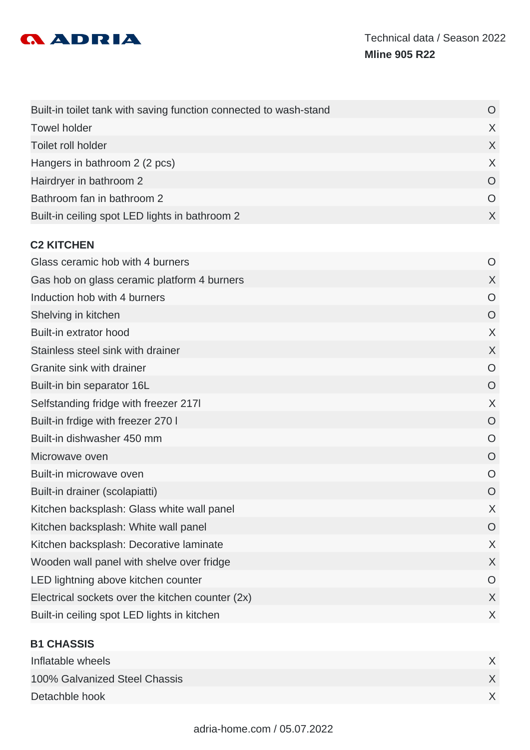

| Built-in toilet tank with saving function connected to wash-stand | $\circ$        |
|-------------------------------------------------------------------|----------------|
| <b>Towel holder</b>                                               | X              |
| Toilet roll holder                                                | X              |
| Hangers in bathroom 2 (2 pcs)                                     | X              |
| Hairdryer in bathroom 2                                           | $\overline{O}$ |
| Bathroom fan in bathroom 2                                        | $\overline{O}$ |
| Built-in ceiling spot LED lights in bathroom 2                    | X              |
| <b>C2 KITCHEN</b>                                                 |                |
| Glass ceramic hob with 4 burners                                  | $\circ$        |
| Gas hob on glass ceramic platform 4 burners                       | X              |
| Induction hob with 4 burners                                      | $\circ$        |
| Shelving in kitchen                                               | $\overline{O}$ |
| Built-in extrator hood                                            | X              |
| Stainless steel sink with drainer                                 | X              |
| Granite sink with drainer                                         | $\circ$        |
| Built-in bin separator 16L                                        | $\overline{O}$ |
| Selfstanding fridge with freezer 2171                             | X              |
| Built-in frdige with freezer 270 I                                | $\overline{O}$ |
| Built-in dishwasher 450 mm                                        | $\overline{O}$ |
| Microwave oven                                                    | $\circ$        |
| Built-in microwave oven                                           | $\circ$        |
| Built-in drainer (scolapiatti)                                    | $\circ$        |
| Kitchen backsplash: Glass white wall panel                        | X              |
| Kitchen backsplash: White wall panel                              | $\overline{O}$ |
| Kitchen backsplash: Decorative laminate                           | X              |
| Wooden wall panel with shelve over fridge                         | X              |
| LED lightning above kitchen counter                               | $\overline{O}$ |
| Electrical sockets over the kitchen counter (2x)                  | X              |
| Built-in ceiling spot LED lights in kitchen                       | X              |
| <b>B1 CHASSIS</b>                                                 |                |
| Inflatable wheels                                                 | X              |
|                                                                   |                |

| 100% Galvanized Steel Chassis |  |
|-------------------------------|--|
| Detachble hook                |  |
|                               |  |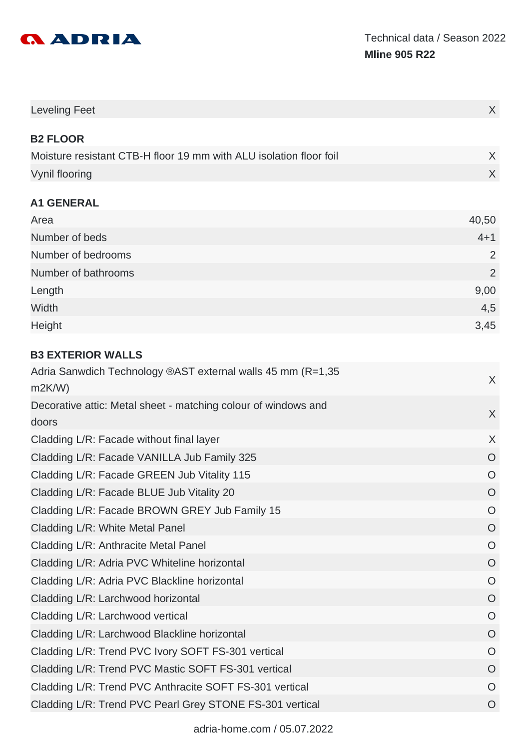

| <b>Leveling Feet</b>                                                 | X              |
|----------------------------------------------------------------------|----------------|
| <b>B2 FLOOR</b>                                                      |                |
| Moisture resistant CTB-H floor 19 mm with ALU isolation floor foil   | X              |
| Vynil flooring                                                       | X              |
|                                                                      |                |
| <b>A1 GENERAL</b>                                                    |                |
| Area                                                                 | 40,50          |
| Number of beds                                                       | $4 + 1$        |
| Number of bedrooms                                                   | 2              |
| Number of bathrooms                                                  | $\overline{2}$ |
| Length                                                               | 9,00           |
| Width                                                                | 4,5            |
| Height                                                               | 3,45           |
|                                                                      |                |
| <b>B3 EXTERIOR WALLS</b>                                             |                |
| Adria Sanwdich Technology ®AST external walls 45 mm (R=1,35<br>m2K/W | $\chi$         |
| Decorative attic: Metal sheet - matching colour of windows and       | X              |
| doors                                                                |                |
| Cladding L/R: Facade without final layer                             | $\sf X$        |
| Cladding L/R: Facade VANILLA Jub Family 325                          | $\overline{O}$ |
| Cladding L/R: Facade GREEN Jub Vitality 115                          | O              |
| Cladding L/R: Facade BLUE Jub Vitality 20                            | $\circ$        |
| Cladding L/R: Facade BROWN GREY Jub Family 15                        | O              |
| Cladding L/R: White Metal Panel                                      | $\circ$        |
| Cladding L/R: Anthracite Metal Panel                                 | O              |
| Cladding L/R: Adria PVC Whiteline horizontal                         | $\circ$        |
| Cladding L/R: Adria PVC Blackline horizontal                         | O              |
| Cladding L/R: Larchwood horizontal                                   | O              |
| Cladding L/R: Larchwood vertical                                     | O              |
| Cladding L/R: Larchwood Blackline horizontal                         | O              |
| Cladding L/R: Trend PVC Ivory SOFT FS-301 vertical                   | O              |
| Cladding L/R: Trend PVC Mastic SOFT FS-301 vertical                  | $\circ$        |
| Cladding L/R: Trend PVC Anthracite SOFT FS-301 vertical              | Ő              |
| Cladding L/R: Trend PVC Pearl Grey STONE FS-301 vertical             | O              |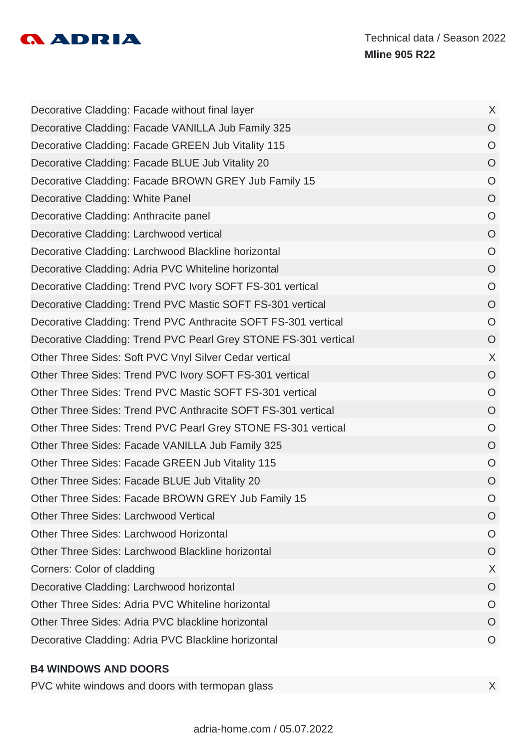

| Decorative Cladding: Facade without final layer                 | X              |
|-----------------------------------------------------------------|----------------|
| Decorative Cladding: Facade VANILLA Jub Family 325              | $\overline{O}$ |
| Decorative Cladding: Facade GREEN Jub Vitality 115              | $\circ$        |
| Decorative Cladding: Facade BLUE Jub Vitality 20                | $\circ$        |
| Decorative Cladding: Facade BROWN GREY Jub Family 15            | $\circ$        |
| Decorative Cladding: White Panel                                | $\overline{O}$ |
| Decorative Cladding: Anthracite panel                           | $\circ$        |
| Decorative Cladding: Larchwood vertical                         | $\circ$        |
| Decorative Cladding: Larchwood Blackline horizontal             | $\circ$        |
| Decorative Cladding: Adria PVC Whiteline horizontal             | $\circ$        |
| Decorative Cladding: Trend PVC Ivory SOFT FS-301 vertical       | $\circ$        |
| Decorative Cladding: Trend PVC Mastic SOFT FS-301 vertical      | $\overline{O}$ |
| Decorative Cladding: Trend PVC Anthracite SOFT FS-301 vertical  | $\circ$        |
| Decorative Cladding: Trend PVC Pearl Grey STONE FS-301 vertical | $\circ$        |
| Other Three Sides: Soft PVC Vnyl Silver Cedar vertical          | X              |
| Other Three Sides: Trend PVC Ivory SOFT FS-301 vertical         | $\circ$        |
| Other Three Sides: Trend PVC Mastic SOFT FS-301 vertical        | $\circ$        |
| Other Three Sides: Trend PVC Anthracite SOFT FS-301 vertical    | $\circ$        |
| Other Three Sides: Trend PVC Pearl Grey STONE FS-301 vertical   | O              |
| Other Three Sides: Facade VANILLA Jub Family 325                | $\circ$        |
| Other Three Sides: Facade GREEN Jub Vitality 115                | $\circ$        |
| Other Three Sides: Facade BLUE Jub Vitality 20                  | O              |
| Other Three Sides: Facade BROWN GREY Jub Family 15              | $\circ$        |
| <b>Other Three Sides: Larchwood Vertical</b>                    | O              |
| <b>Other Three Sides: Larchwood Horizontal</b>                  | O              |
| Other Three Sides: Larchwood Blackline horizontal               | O              |
| Corners: Color of cladding                                      | X              |
| Decorative Cladding: Larchwood horizontal                       | O              |
| Other Three Sides: Adria PVC Whiteline horizontal               | O              |
| Other Three Sides: Adria PVC blackline horizontal               | O              |
| Decorative Cladding: Adria PVC Blackline horizontal             | O              |
|                                                                 |                |

#### **B4 WINDOWS AND DOORS**

| PVC white windows and doors with termopan glass |  |
|-------------------------------------------------|--|
|-------------------------------------------------|--|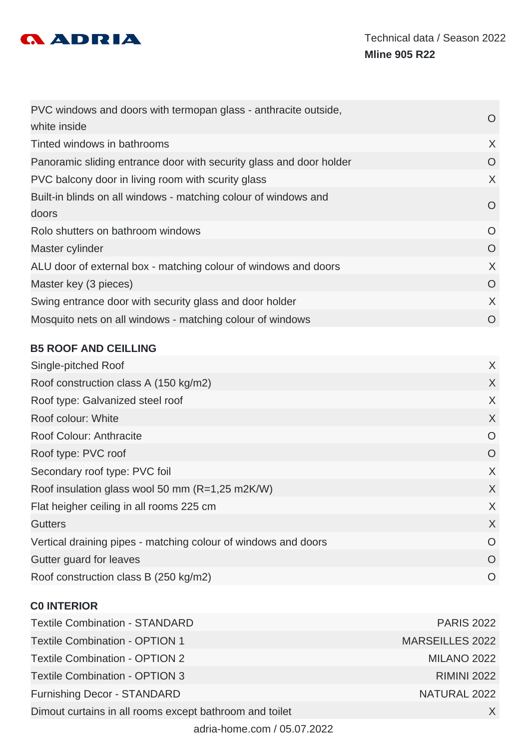

| PVC windows and doors with termopan glass - anthracite outside,     |          |
|---------------------------------------------------------------------|----------|
| white inside                                                        | O        |
| Tinted windows in bathrooms                                         | X        |
| Panoramic sliding entrance door with security glass and door holder | $\circ$  |
| PVC balcony door in living room with scurity glass                  | X        |
| Built-in blinds on all windows - matching colour of windows and     | O        |
| doors                                                               |          |
| Rolo shutters on bathroom windows                                   | $\Omega$ |
| Master cylinder                                                     | $\Omega$ |
| ALU door of external box - matching colour of windows and doors     | X        |
| Master key (3 pieces)                                               | $\circ$  |
| Swing entrance door with security glass and door holder             | X        |
| Mosquito nets on all windows - matching colour of windows           | $\Omega$ |

#### **B5 ROOF AND CEILLING**

| Single-pitched Roof                                            | X       |
|----------------------------------------------------------------|---------|
| Roof construction class A (150 kg/m2)                          | X       |
| Roof type: Galvanized steel roof                               | X       |
| Roof colour: White                                             | X       |
| Roof Colour: Anthracite                                        | $\circ$ |
| Roof type: PVC roof                                            | O       |
| Secondary roof type: PVC foil                                  | X       |
| Roof insulation glass wool 50 mm (R=1,25 m2K/W)                | X       |
| Flat heigher ceiling in all rooms 225 cm                       | X       |
| <b>Gutters</b>                                                 | X       |
| Vertical draining pipes - matching colour of windows and doors | O       |
| Gutter guard for leaves                                        | O       |
| Roof construction class B (250 kg/m2)                          | O       |
|                                                                |         |

#### **C0 INTERIOR**

| <b>PARIS 2022</b>      |
|------------------------|
| <b>MARSEILLES 2022</b> |
| <b>MILANO 2022</b>     |
| <b>RIMINI 2022</b>     |
| NATURAL 2022           |
| X                      |
|                        |

adria-home.com / 05.07.2022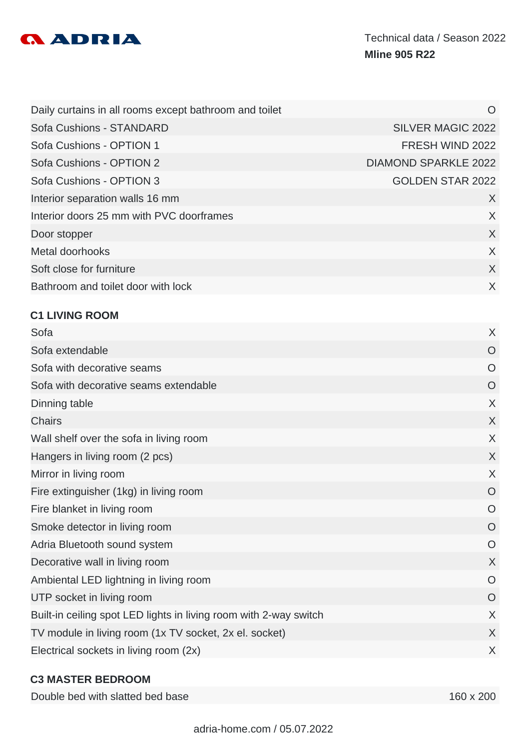

| Daily curtains in all rooms except bathroom and toilet | ∩                           |
|--------------------------------------------------------|-----------------------------|
| Sofa Cushions - STANDARD                               | <b>SILVER MAGIC 2022</b>    |
| Sofa Cushions - OPTION 1                               | FRESH WIND 2022             |
| Sofa Cushions - OPTION 2                               | <b>DIAMOND SPARKLE 2022</b> |
| Sofa Cushions - OPTION 3                               | <b>GOLDEN STAR 2022</b>     |
| Interior separation walls 16 mm                        | X                           |
| Interior doors 25 mm with PVC doorframes               | X                           |
| Door stopper                                           | $\chi$                      |
| Metal doorhooks                                        | X                           |
| Soft close for furniture                               | X                           |
| Bathroom and toilet door with lock                     | X                           |

## **C1 LIVING ROOM**

| Sofa                                                              | X              |
|-------------------------------------------------------------------|----------------|
| Sofa extendable                                                   | O              |
| Sofa with decorative seams                                        | O              |
| Sofa with decorative seams extendable                             | $\overline{O}$ |
| Dinning table                                                     | X              |
| <b>Chairs</b>                                                     | X              |
| Wall shelf over the sofa in living room                           | X              |
| Hangers in living room (2 pcs)                                    | X              |
| Mirror in living room                                             | X              |
| Fire extinguisher (1kg) in living room                            | $\circ$        |
| Fire blanket in living room                                       | $\circ$        |
| Smoke detector in living room                                     | $\overline{O}$ |
| Adria Bluetooth sound system                                      | $\overline{O}$ |
| Decorative wall in living room                                    | X              |
| Ambiental LED lightning in living room                            | O              |
| UTP socket in living room                                         | $\overline{O}$ |
| Built-in ceiling spot LED lights in living room with 2-way switch | X              |
| TV module in living room (1x TV socket, 2x el. socket)            | X              |
| Electrical sockets in living room (2x)                            | X              |
|                                                                   |                |

#### **C3 MASTER BEDROOM**

| Double bed with slatted bed base | 160 x 200 |
|----------------------------------|-----------|
|----------------------------------|-----------|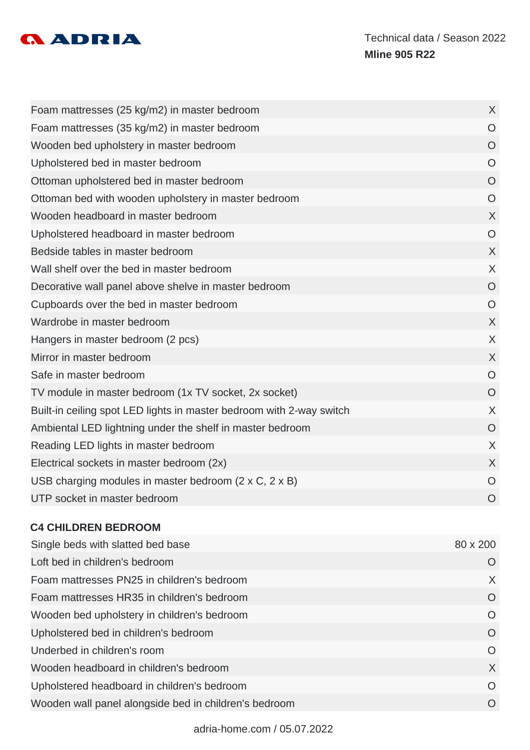

| Foam mattresses (25 kg/m2) in master bedroom                         | X              |
|----------------------------------------------------------------------|----------------|
| Foam mattresses (35 kg/m2) in master bedroom                         | $\overline{O}$ |
| Wooden bed upholstery in master bedroom                              | $\overline{O}$ |
| Upholstered bed in master bedroom                                    | $\overline{O}$ |
| Ottoman upholstered bed in master bedroom                            | $\overline{O}$ |
| Ottoman bed with wooden upholstery in master bedroom                 | $\overline{O}$ |
| Wooden headboard in master bedroom                                   | X              |
| Upholstered headboard in master bedroom                              | $\overline{O}$ |
| Bedside tables in master bedroom                                     | $\sf X$        |
| Wall shelf over the bed in master bedroom                            | X              |
| Decorative wall panel above shelve in master bedroom                 | $\overline{O}$ |
| Cupboards over the bed in master bedroom                             | $\overline{O}$ |
| Wardrobe in master bedroom                                           | X              |
| Hangers in master bedroom (2 pcs)                                    | $\times$       |
| Mirror in master bedroom                                             | X              |
| Safe in master bedroom                                               | $\overline{O}$ |
| TV module in master bedroom (1x TV socket, 2x socket)                | $\overline{O}$ |
| Built-in ceiling spot LED lights in master bedroom with 2-way switch | X              |
| Ambiental LED lightning under the shelf in master bedroom            | $\overline{O}$ |
| Reading LED lights in master bedroom                                 | X              |
| Electrical sockets in master bedroom (2x)                            | X              |
| USB charging modules in master bedroom (2 x C, 2 x B)                | $\circ$        |
| UTP socket in master bedroom                                         | $\circ$        |

#### **C4 CHILDREN BEDROOM**

| Single beds with slatted bed base                     | 80 x 200 |
|-------------------------------------------------------|----------|
| Loft bed in children's bedroom                        | $\Omega$ |
| Foam mattresses PN25 in children's bedroom            | X        |
| Foam mattresses HR35 in children's bedroom            | $\circ$  |
| Wooden bed upholstery in children's bedroom           | $\circ$  |
| Upholstered bed in children's bedroom                 | $\circ$  |
| Underbed in children's room                           | $\circ$  |
| Wooden headboard in children's bedroom                | X        |
| Upholstered headboard in children's bedroom           | $\circ$  |
| Wooden wall panel alongside bed in children's bedroom | O        |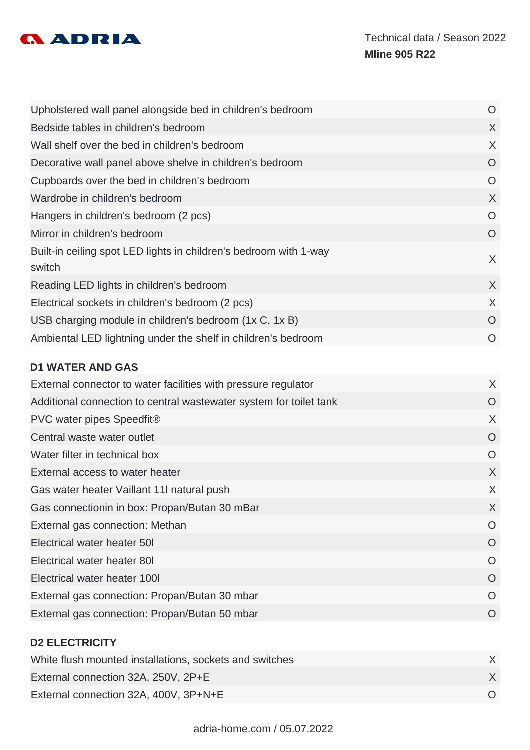

| Upholstered wall panel alongside bed in children's bedroom                  | O      |
|-----------------------------------------------------------------------------|--------|
| Bedside tables in children's bedroom                                        | X      |
| Wall shelf over the bed in children's bedroom                               | X      |
| Decorative wall panel above shelve in children's bedroom                    | O      |
| Cupboards over the bed in children's bedroom                                | O      |
| Wardrobe in children's bedroom                                              | $\chi$ |
| Hangers in children's bedroom (2 pcs)                                       | O      |
| Mirror in children's bedroom                                                | O      |
| Built-in ceiling spot LED lights in children's bedroom with 1-way<br>switch | X      |
| Reading LED lights in children's bedroom                                    | $\chi$ |
| Electrical sockets in children's bedroom (2 pcs)                            | X      |
| USB charging module in children's bedroom (1x C, 1x B)                      | O      |
| Ambiental LED lightning under the shelf in children's bedroom               | O      |

#### **D1 WATER AND GAS**

| External connector to water facilities with pressure regulator     | X        |
|--------------------------------------------------------------------|----------|
| Additional connection to central wastewater system for toilet tank | O        |
| PVC water pipes Speedfit®                                          | X        |
| Central waste water outlet                                         | O        |
| Water filter in technical box                                      | $\Omega$ |
| External access to water heater                                    | X        |
| Gas water heater Vaillant 11 natural push                          | X        |
| Gas connectionin in box: Propan/Butan 30 mBar                      | X        |
| External gas connection: Methan                                    | O        |
| Electrical water heater 50                                         | O        |
| Electrical water heater 801                                        | $\Omega$ |
| Electrical water heater 1001                                       | O        |
| External gas connection: Propan/Butan 30 mbar                      | $\Omega$ |
| External gas connection: Propan/Butan 50 mbar                      | $\Omega$ |
|                                                                    |          |

## **D2 ELECTRICITY** White flush mounted installations, sockets and switches **X** X External connection 32A, 250V, 2P+E X External connection 32A, 400V, 3P+N+E O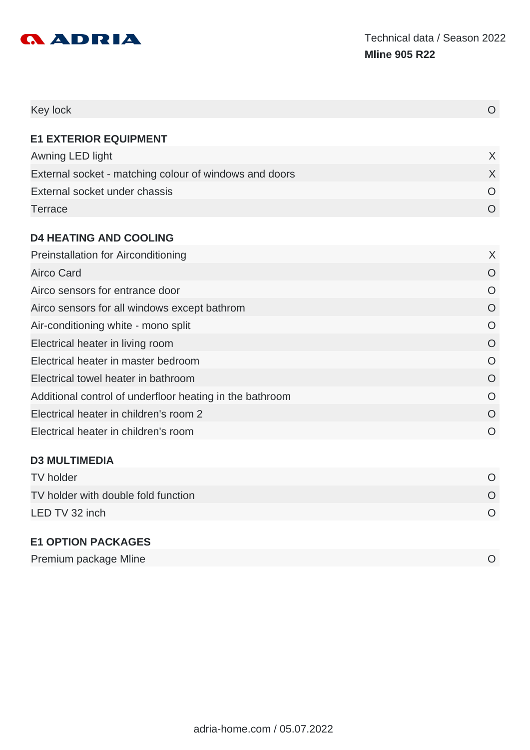

| Key lock                                                 | $\overline{O}$ |
|----------------------------------------------------------|----------------|
| <b>E1 EXTERIOR EQUIPMENT</b>                             |                |
| Awning LED light                                         | X              |
| External socket - matching colour of windows and doors   | $\sf X$        |
| External socket under chassis                            | $\overline{O}$ |
| <b>Terrace</b>                                           | $\overline{O}$ |
| <b>D4 HEATING AND COOLING</b>                            |                |
| <b>Preinstallation for Airconditioning</b>               | X              |
| <b>Airco Card</b>                                        | $\overline{O}$ |
| Airco sensors for entrance door                          | $\overline{O}$ |
| Airco sensors for all windows except bathrom             | $\overline{O}$ |
| Air-conditioning white - mono split                      | $\overline{O}$ |
| Electrical heater in living room                         | $\overline{O}$ |
| Electrical heater in master bedroom                      | $\overline{O}$ |
| Electrical towel heater in bathroom                      | $\overline{O}$ |
| Additional control of underfloor heating in the bathroom | $\overline{O}$ |
| Electrical heater in children's room 2                   | $\overline{O}$ |
| Electrical heater in children's room                     | $\overline{O}$ |
| <b>D3 MULTIMEDIA</b>                                     |                |
| TV holder                                                | O              |
| TV holder with double fold function                      | $\overline{O}$ |
| LED TV 32 inch                                           | $\circ$        |
| <b>E1 OPTION PACKAGES</b>                                |                |

| Premium package Mline |  |
|-----------------------|--|
|                       |  |